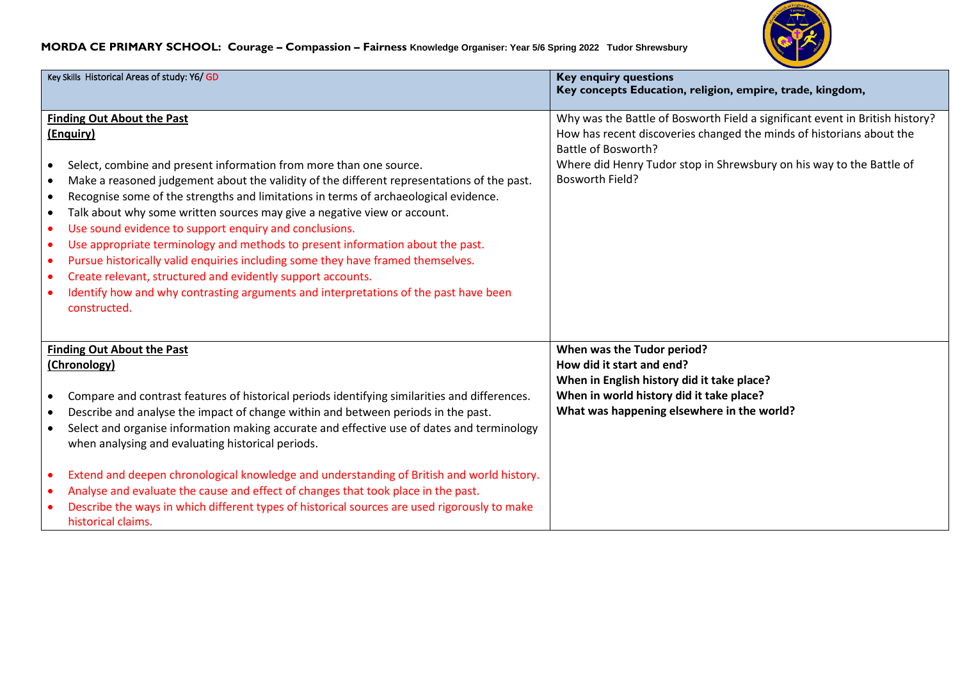

## **MORDA CE PRIMARY SCHOOL: Courage – Compassion – Fairness Knowledge Organiser: Year 5/6 Spring 2022 Tudor Shrewsbury**

| Key Skills Historical Areas of study: Y6/ GD                                                                                                                                                                                                                                                                                                                                                                                                                                                                                                                                                                                                                                                                                                                                                                                                                                                 | <b>Key enquiry questions</b><br>Key concepts Education, religion, empire, trade, kingdom,                                                                                                                                                                              |
|----------------------------------------------------------------------------------------------------------------------------------------------------------------------------------------------------------------------------------------------------------------------------------------------------------------------------------------------------------------------------------------------------------------------------------------------------------------------------------------------------------------------------------------------------------------------------------------------------------------------------------------------------------------------------------------------------------------------------------------------------------------------------------------------------------------------------------------------------------------------------------------------|------------------------------------------------------------------------------------------------------------------------------------------------------------------------------------------------------------------------------------------------------------------------|
| <b>Finding Out About the Past</b><br>(Enquiry)<br>Select, combine and present information from more than one source.<br>$\bullet$<br>Make a reasoned judgement about the validity of the different representations of the past.<br>$\bullet$<br>Recognise some of the strengths and limitations in terms of archaeological evidence.<br>٠<br>Talk about why some written sources may give a negative view or account.<br>$\bullet$<br>Use sound evidence to support enquiry and conclusions.<br>$\bullet$<br>Use appropriate terminology and methods to present information about the past.<br>$\bullet$<br>Pursue historically valid enquiries including some they have framed themselves.<br>$\bullet$<br>Create relevant, structured and evidently support accounts.<br>$\bullet$<br>Identify how and why contrasting arguments and interpretations of the past have been<br>constructed. | Why was the Battle of Bosworth Field a significant event in British history?<br>How has recent discoveries changed the minds of historians about the<br>Battle of Bosworth?<br>Where did Henry Tudor stop in Shrewsbury on his way to the Battle of<br>Bosworth Field? |
| <b>Finding Out About the Past</b><br>(Chronology)<br>Compare and contrast features of historical periods identifying similarities and differences.<br>Describe and analyse the impact of change within and between periods in the past.<br>$\bullet$<br>Select and organise information making accurate and effective use of dates and terminology<br>when analysing and evaluating historical periods.                                                                                                                                                                                                                                                                                                                                                                                                                                                                                      | When was the Tudor period?<br>How did it start and end?<br>When in English history did it take place?<br>When in world history did it take place?<br>What was happening elsewhere in the world?                                                                        |
| Extend and deepen chronological knowledge and understanding of British and world history.<br>$\bullet$<br>Analyse and evaluate the cause and effect of changes that took place in the past.<br>Describe the ways in which different types of historical sources are used rigorously to make<br>historical claims.                                                                                                                                                                                                                                                                                                                                                                                                                                                                                                                                                                            |                                                                                                                                                                                                                                                                        |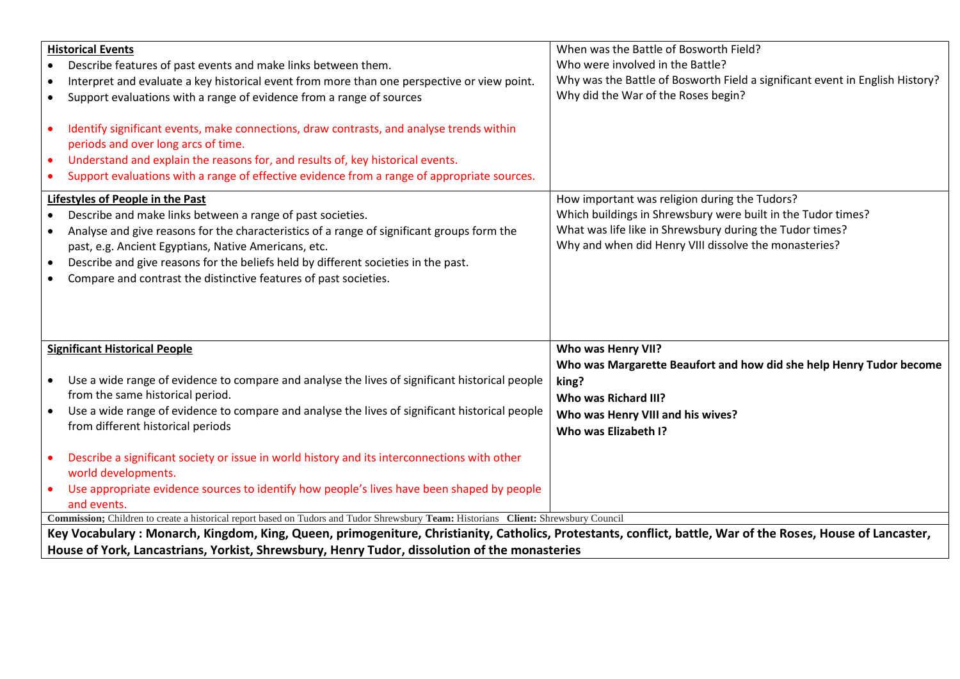| <b>Historical Events</b><br>Describe features of past events and make links between them.<br>Interpret and evaluate a key historical event from more than one perspective or view point.<br>Support evaluations with a range of evidence from a range of sources<br>Identify significant events, make connections, draw contrasts, and analyse trends within<br>periods and over long arcs of time.<br>Understand and explain the reasons for, and results of, key historical events.<br>$\bullet$<br>Support evaluations with a range of effective evidence from a range of appropriate sources. | When was the Battle of Bosworth Field?<br>Who were involved in the Battle?<br>Why was the Battle of Bosworth Field a significant event in English History?<br>Why did the War of the Roses begin?                                  |  |
|---------------------------------------------------------------------------------------------------------------------------------------------------------------------------------------------------------------------------------------------------------------------------------------------------------------------------------------------------------------------------------------------------------------------------------------------------------------------------------------------------------------------------------------------------------------------------------------------------|------------------------------------------------------------------------------------------------------------------------------------------------------------------------------------------------------------------------------------|--|
| Lifestyles of People in the Past<br>Describe and make links between a range of past societies.<br>Analyse and give reasons for the characteristics of a range of significant groups form the<br>past, e.g. Ancient Egyptians, Native Americans, etc.<br>Describe and give reasons for the beliefs held by different societies in the past.<br>Compare and contrast the distinctive features of past societies.                                                                                                                                                                                    | How important was religion during the Tudors?<br>Which buildings in Shrewsbury were built in the Tudor times?<br>What was life like in Shrewsbury during the Tudor times?<br>Why and when did Henry VIII dissolve the monasteries? |  |
| <b>Significant Historical People</b><br>Use a wide range of evidence to compare and analyse the lives of significant historical people<br>from the same historical period.<br>Use a wide range of evidence to compare and analyse the lives of significant historical people<br>from different historical periods<br>Describe a significant society or issue in world history and its interconnections with other<br>world developments.<br>Use appropriate evidence sources to identify how people's lives have been shaped by people<br>and events.                                             | Who was Henry VII?<br>Who was Margarette Beaufort and how did she help Henry Tudor become<br>king?<br>Who was Richard III?<br>Who was Henry VIII and his wives?<br>Who was Elizabeth I?                                            |  |
| Commission; Children to create a historical report based on Tudors and Tudor Shrewsbury Team: Historians Client: Shrewsbury Council                                                                                                                                                                                                                                                                                                                                                                                                                                                               |                                                                                                                                                                                                                                    |  |
| Key Vocabulary: Monarch, Kingdom, King, Queen, primogeniture, Christianity, Catholics, Protestants, conflict, battle, War of the Roses, House of Lancaster,<br>House of York, Lancastrians, Yorkist, Shrewsbury, Henry Tudor, dissolution of the monasteries                                                                                                                                                                                                                                                                                                                                      |                                                                                                                                                                                                                                    |  |